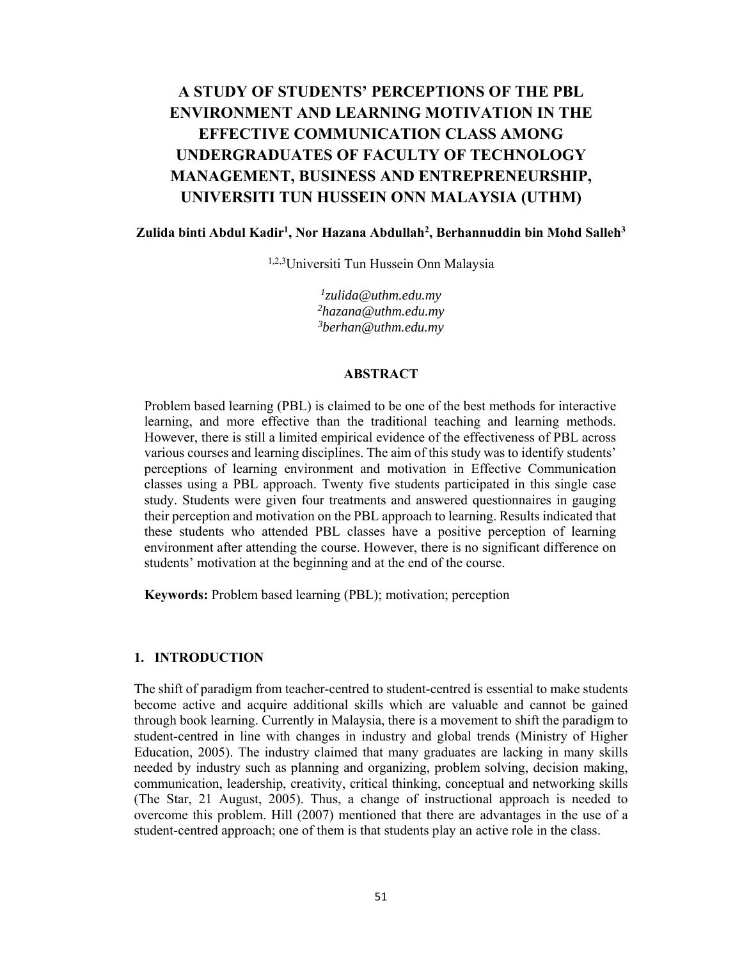# **A STUDY OF STUDENTS' PERCEPTIONS OF THE PBL ENVIRONMENT AND LEARNING MOTIVATION IN THE EFFECTIVE COMMUNICATION CLASS AMONG UNDERGRADUATES OF FACULTY OF TECHNOLOGY MANAGEMENT, BUSINESS AND ENTREPRENEURSHIP, UNIVERSITI TUN HUSSEIN ONN MALAYSIA (UTHM)**

### **Zulida binti Abdul Kadir1, Nor Hazana Abdullah2, Berhannuddin bin Mohd Salleh3**

1,2,3Universiti Tun Hussein Onn Malaysia

*1zulida@uthm.edu.my 2hazana@uthm.edu.my 3 berhan@uthm.edu.my* 

#### **ABSTRACT**

Problem based learning (PBL) is claimed to be one of the best methods for interactive learning, and more effective than the traditional teaching and learning methods. However, there is still a limited empirical evidence of the effectiveness of PBL across various courses and learning disciplines. The aim of this study was to identify students' perceptions of learning environment and motivation in Effective Communication classes using a PBL approach. Twenty five students participated in this single case study. Students were given four treatments and answered questionnaires in gauging their perception and motivation on the PBL approach to learning. Results indicated that these students who attended PBL classes have a positive perception of learning environment after attending the course. However, there is no significant difference on students' motivation at the beginning and at the end of the course.

**Keywords:** Problem based learning (PBL); motivation; perception

### **1. INTRODUCTION**

The shift of paradigm from teacher-centred to student-centred is essential to make students become active and acquire additional skills which are valuable and cannot be gained through book learning. Currently in Malaysia, there is a movement to shift the paradigm to student-centred in line with changes in industry and global trends (Ministry of Higher Education, 2005). The industry claimed that many graduates are lacking in many skills needed by industry such as planning and organizing, problem solving, decision making, communication, leadership, creativity, critical thinking, conceptual and networking skills (The Star, 21 August, 2005). Thus, a change of instructional approach is needed to overcome this problem. Hill (2007) mentioned that there are advantages in the use of a student-centred approach; one of them is that students play an active role in the class.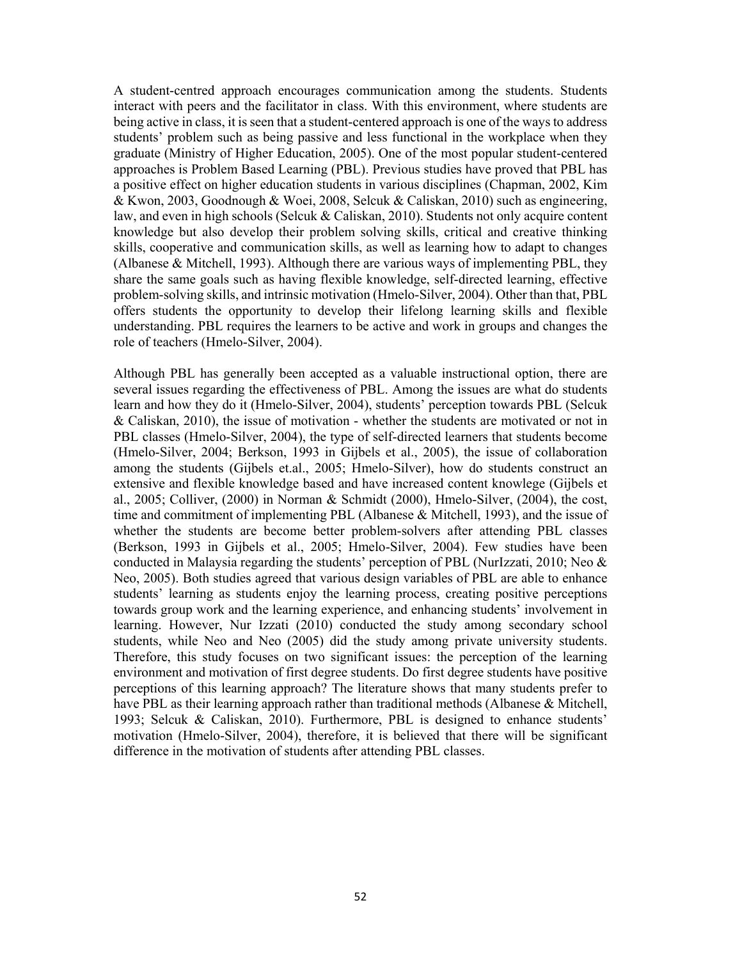A student-centred approach encourages communication among the students. Students interact with peers and the facilitator in class. With this environment, where students are being active in class, it is seen that a student-centered approach is one of the ways to address students' problem such as being passive and less functional in the workplace when they graduate (Ministry of Higher Education, 2005). One of the most popular student-centered approaches is Problem Based Learning (PBL). Previous studies have proved that PBL has a positive effect on higher education students in various disciplines (Chapman, 2002, Kim & Kwon, 2003, Goodnough & Woei, 2008, Selcuk & Caliskan, 2010) such as engineering, law, and even in high schools (Selcuk & Caliskan, 2010). Students not only acquire content knowledge but also develop their problem solving skills, critical and creative thinking skills, cooperative and communication skills, as well as learning how to adapt to changes (Albanese & Mitchell, 1993). Although there are various ways of implementing PBL, they share the same goals such as having flexible knowledge, self-directed learning, effective problem-solving skills, and intrinsic motivation (Hmelo-Silver, 2004). Other than that, PBL offers students the opportunity to develop their lifelong learning skills and flexible understanding. PBL requires the learners to be active and work in groups and changes the role of teachers (Hmelo-Silver, 2004).

Although PBL has generally been accepted as a valuable instructional option, there are several issues regarding the effectiveness of PBL. Among the issues are what do students learn and how they do it (Hmelo-Silver, 2004), students' perception towards PBL (Selcuk & Caliskan, 2010), the issue of motivation - whether the students are motivated or not in PBL classes (Hmelo-Silver, 2004), the type of self-directed learners that students become (Hmelo-Silver, 2004; Berkson, 1993 in Gijbels et al., 2005), the issue of collaboration among the students (Gijbels et.al., 2005; Hmelo-Silver), how do students construct an extensive and flexible knowledge based and have increased content knowlege (Gijbels et al., 2005; Colliver, (2000) in Norman & Schmidt (2000), Hmelo-Silver, (2004), the cost, time and commitment of implementing PBL (Albanese & Mitchell, 1993), and the issue of whether the students are become better problem-solvers after attending PBL classes (Berkson, 1993 in Gijbels et al., 2005; Hmelo-Silver, 2004). Few studies have been conducted in Malaysia regarding the students' perception of PBL (NurIzzati, 2010; Neo & Neo, 2005). Both studies agreed that various design variables of PBL are able to enhance students' learning as students enjoy the learning process, creating positive perceptions towards group work and the learning experience, and enhancing students' involvement in learning. However, Nur Izzati (2010) conducted the study among secondary school students, while Neo and Neo (2005) did the study among private university students. Therefore, this study focuses on two significant issues: the perception of the learning environment and motivation of first degree students. Do first degree students have positive perceptions of this learning approach? The literature shows that many students prefer to have PBL as their learning approach rather than traditional methods (Albanese & Mitchell, 1993; Selcuk & Caliskan, 2010). Furthermore, PBL is designed to enhance students' motivation (Hmelo-Silver, 2004), therefore, it is believed that there will be significant difference in the motivation of students after attending PBL classes.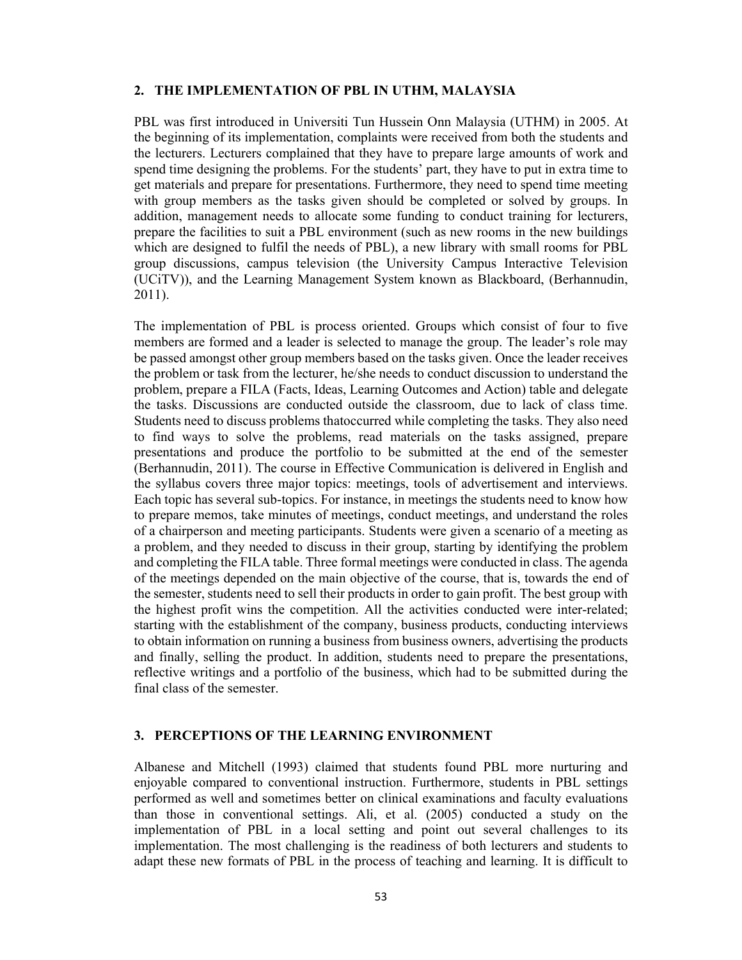#### **2. THE IMPLEMENTATION OF PBL IN UTHM, MALAYSIA**

PBL was first introduced in Universiti Tun Hussein Onn Malaysia (UTHM) in 2005. At the beginning of its implementation, complaints were received from both the students and the lecturers. Lecturers complained that they have to prepare large amounts of work and spend time designing the problems. For the students' part, they have to put in extra time to get materials and prepare for presentations. Furthermore, they need to spend time meeting with group members as the tasks given should be completed or solved by groups. In addition, management needs to allocate some funding to conduct training for lecturers, prepare the facilities to suit a PBL environment (such as new rooms in the new buildings which are designed to fulfil the needs of PBL), a new library with small rooms for PBL group discussions, campus television (the University Campus Interactive Television (UCiTV)), and the Learning Management System known as Blackboard, (Berhannudin, 2011).

The implementation of PBL is process oriented. Groups which consist of four to five members are formed and a leader is selected to manage the group. The leader's role may be passed amongst other group members based on the tasks given. Once the leader receives the problem or task from the lecturer, he/she needs to conduct discussion to understand the problem, prepare a FILA (Facts, Ideas, Learning Outcomes and Action) table and delegate the tasks. Discussions are conducted outside the classroom, due to lack of class time. Students need to discuss problems thatoccurred while completing the tasks. They also need to find ways to solve the problems, read materials on the tasks assigned, prepare presentations and produce the portfolio to be submitted at the end of the semester (Berhannudin, 2011). The course in Effective Communication is delivered in English and the syllabus covers three major topics: meetings, tools of advertisement and interviews. Each topic has several sub-topics. For instance, in meetings the students need to know how to prepare memos, take minutes of meetings, conduct meetings, and understand the roles of a chairperson and meeting participants. Students were given a scenario of a meeting as a problem, and they needed to discuss in their group, starting by identifying the problem and completing the FILA table. Three formal meetings were conducted in class. The agenda of the meetings depended on the main objective of the course, that is, towards the end of the semester, students need to sell their products in order to gain profit. The best group with the highest profit wins the competition. All the activities conducted were inter-related; starting with the establishment of the company, business products, conducting interviews to obtain information on running a business from business owners, advertising the products and finally, selling the product. In addition, students need to prepare the presentations, reflective writings and a portfolio of the business, which had to be submitted during the final class of the semester.

### **3. PERCEPTIONS OF THE LEARNING ENVIRONMENT**

Albanese and Mitchell (1993) claimed that students found PBL more nurturing and enjoyable compared to conventional instruction. Furthermore, students in PBL settings performed as well and sometimes better on clinical examinations and faculty evaluations than those in conventional settings. Ali, et al. (2005) conducted a study on the implementation of PBL in a local setting and point out several challenges to its implementation. The most challenging is the readiness of both lecturers and students to adapt these new formats of PBL in the process of teaching and learning. It is difficult to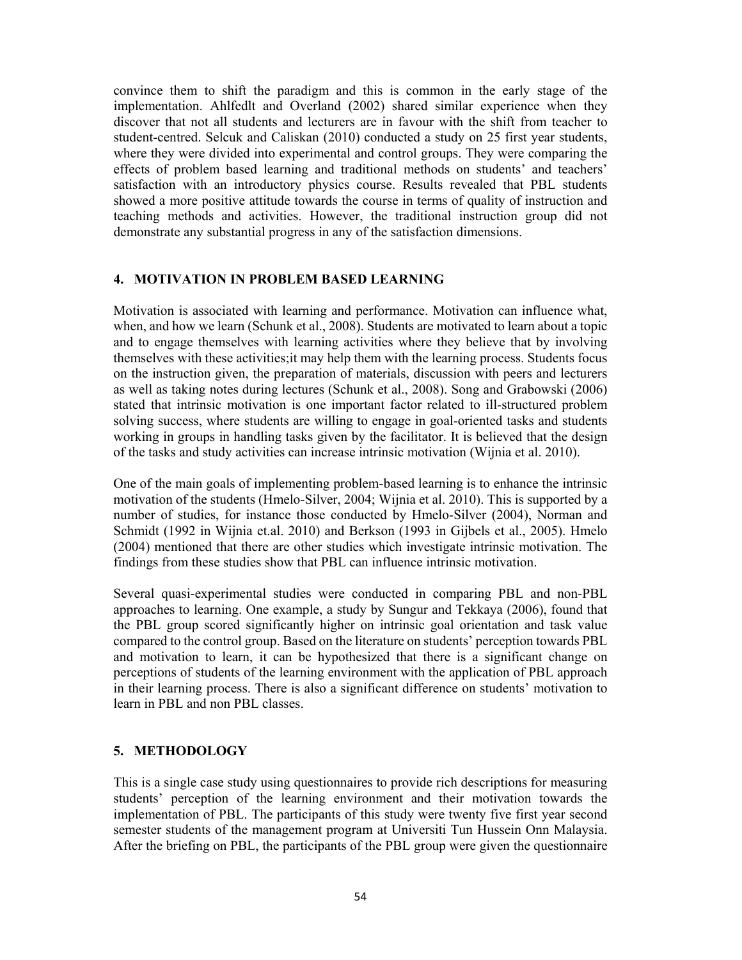convince them to shift the paradigm and this is common in the early stage of the implementation. Ahlfedlt and Overland (2002) shared similar experience when they discover that not all students and lecturers are in favour with the shift from teacher to student-centred. Selcuk and Caliskan (2010) conducted a study on 25 first year students, where they were divided into experimental and control groups. They were comparing the effects of problem based learning and traditional methods on students' and teachers' satisfaction with an introductory physics course. Results revealed that PBL students showed a more positive attitude towards the course in terms of quality of instruction and teaching methods and activities. However, the traditional instruction group did not demonstrate any substantial progress in any of the satisfaction dimensions.

## **4. MOTIVATION IN PROBLEM BASED LEARNING**

Motivation is associated with learning and performance. Motivation can influence what, when, and how we learn (Schunk et al., 2008). Students are motivated to learn about a topic and to engage themselves with learning activities where they believe that by involving themselves with these activities;it may help them with the learning process. Students focus on the instruction given, the preparation of materials, discussion with peers and lecturers as well as taking notes during lectures (Schunk et al., 2008). Song and Grabowski (2006) stated that intrinsic motivation is one important factor related to ill-structured problem solving success, where students are willing to engage in goal-oriented tasks and students working in groups in handling tasks given by the facilitator. It is believed that the design of the tasks and study activities can increase intrinsic motivation (Wijnia et al. 2010).

One of the main goals of implementing problem-based learning is to enhance the intrinsic motivation of the students (Hmelo-Silver, 2004; Wijnia et al. 2010). This is supported by a number of studies, for instance those conducted by Hmelo-Silver (2004), Norman and Schmidt (1992 in Wijnia et.al. 2010) and Berkson (1993 in Gijbels et al., 2005). Hmelo (2004) mentioned that there are other studies which investigate intrinsic motivation. The findings from these studies show that PBL can influence intrinsic motivation.

Several quasi-experimental studies were conducted in comparing PBL and non-PBL approaches to learning. One example, a study by Sungur and Tekkaya (2006), found that the PBL group scored significantly higher on intrinsic goal orientation and task value compared to the control group. Based on the literature on students' perception towards PBL and motivation to learn, it can be hypothesized that there is a significant change on perceptions of students of the learning environment with the application of PBL approach in their learning process. There is also a significant difference on students' motivation to learn in PBL and non PBL classes.

## **5. METHODOLOGY**

This is a single case study using questionnaires to provide rich descriptions for measuring students' perception of the learning environment and their motivation towards the implementation of PBL. The participants of this study were twenty five first year second semester students of the management program at Universiti Tun Hussein Onn Malaysia. After the briefing on PBL, the participants of the PBL group were given the questionnaire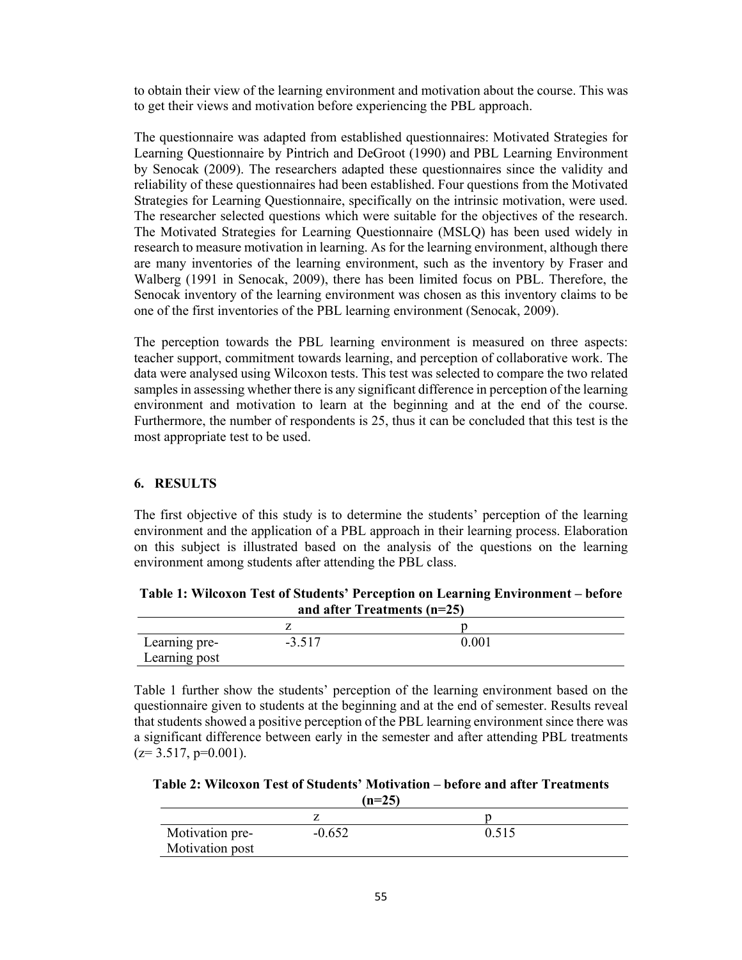to obtain their view of the learning environment and motivation about the course. This was to get their views and motivation before experiencing the PBL approach.

The questionnaire was adapted from established questionnaires: Motivated Strategies for Learning Questionnaire by Pintrich and DeGroot (1990) and PBL Learning Environment by Senocak (2009). The researchers adapted these questionnaires since the validity and reliability of these questionnaires had been established. Four questions from the Motivated Strategies for Learning Questionnaire, specifically on the intrinsic motivation, were used. The researcher selected questions which were suitable for the objectives of the research. The Motivated Strategies for Learning Questionnaire (MSLQ) has been used widely in research to measure motivation in learning. As for the learning environment, although there are many inventories of the learning environment, such as the inventory by Fraser and Walberg (1991 in Senocak, 2009), there has been limited focus on PBL. Therefore, the Senocak inventory of the learning environment was chosen as this inventory claims to be one of the first inventories of the PBL learning environment (Senocak, 2009).

The perception towards the PBL learning environment is measured on three aspects: teacher support, commitment towards learning, and perception of collaborative work. The data were analysed using Wilcoxon tests. This test was selected to compare the two related samples in assessing whether there is any significant difference in perception of the learning environment and motivation to learn at the beginning and at the end of the course. Furthermore, the number of respondents is 25, thus it can be concluded that this test is the most appropriate test to be used.

## **6. RESULTS**

The first objective of this study is to determine the students' perception of the learning environment and the application of a PBL approach in their learning process. Elaboration on this subject is illustrated based on the analysis of the questions on the learning environment among students after attending the PBL class.

**Table 1: Wilcoxon Test of Students' Perception on Learning Environment – before and after Treatments (n=25)** 

| Learning pre-<br>Learning post | ን ደ17<br>$-$<br>، ۱ ن.پ | 0.001 |  |
|--------------------------------|-------------------------|-------|--|

Table 1 further show the students' perception of the learning environment based on the questionnaire given to students at the beginning and at the end of semester. Results reveal that students showed a positive perception of the PBL learning environment since there was a significant difference between early in the semester and after attending PBL treatments  $(z=3.517, p=0.001)$ .

**Table 2: Wilcoxon Test of Students' Motivation – before and after Treatments**   $(n=25)$ 

| Motivation pre- | $-0.652$ | 0.515 |  |
|-----------------|----------|-------|--|
| Motivation post |          |       |  |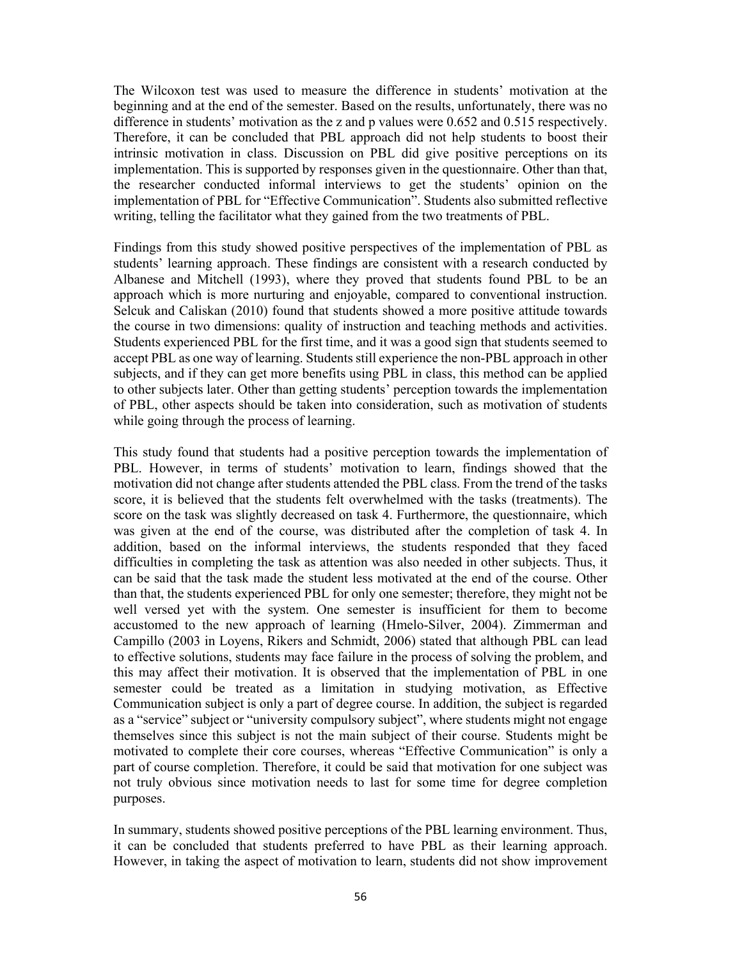The Wilcoxon test was used to measure the difference in students' motivation at the beginning and at the end of the semester. Based on the results, unfortunately, there was no difference in students' motivation as the z and p values were 0.652 and 0.515 respectively. Therefore, it can be concluded that PBL approach did not help students to boost their intrinsic motivation in class. Discussion on PBL did give positive perceptions on its implementation. This is supported by responses given in the questionnaire. Other than that, the researcher conducted informal interviews to get the students' opinion on the implementation of PBL for "Effective Communication". Students also submitted reflective writing, telling the facilitator what they gained from the two treatments of PBL.

Findings from this study showed positive perspectives of the implementation of PBL as students' learning approach. These findings are consistent with a research conducted by Albanese and Mitchell (1993), where they proved that students found PBL to be an approach which is more nurturing and enjoyable, compared to conventional instruction. Selcuk and Caliskan (2010) found that students showed a more positive attitude towards the course in two dimensions: quality of instruction and teaching methods and activities. Students experienced PBL for the first time, and it was a good sign that students seemed to accept PBL as one way of learning. Students still experience the non-PBL approach in other subjects, and if they can get more benefits using PBL in class, this method can be applied to other subjects later. Other than getting students' perception towards the implementation of PBL, other aspects should be taken into consideration, such as motivation of students while going through the process of learning.

This study found that students had a positive perception towards the implementation of PBL. However, in terms of students' motivation to learn, findings showed that the motivation did not change after students attended the PBL class. From the trend of the tasks score, it is believed that the students felt overwhelmed with the tasks (treatments). The score on the task was slightly decreased on task 4. Furthermore, the questionnaire, which was given at the end of the course, was distributed after the completion of task 4. In addition, based on the informal interviews, the students responded that they faced difficulties in completing the task as attention was also needed in other subjects. Thus, it can be said that the task made the student less motivated at the end of the course. Other than that, the students experienced PBL for only one semester; therefore, they might not be well versed yet with the system. One semester is insufficient for them to become accustomed to the new approach of learning (Hmelo-Silver, 2004). Zimmerman and Campillo (2003 in Loyens, Rikers and Schmidt, 2006) stated that although PBL can lead to effective solutions, students may face failure in the process of solving the problem, and this may affect their motivation. It is observed that the implementation of PBL in one semester could be treated as a limitation in studying motivation, as Effective Communication subject is only a part of degree course. In addition, the subject is regarded as a "service" subject or "university compulsory subject", where students might not engage themselves since this subject is not the main subject of their course. Students might be motivated to complete their core courses, whereas "Effective Communication" is only a part of course completion. Therefore, it could be said that motivation for one subject was not truly obvious since motivation needs to last for some time for degree completion purposes.

In summary, students showed positive perceptions of the PBL learning environment. Thus, it can be concluded that students preferred to have PBL as their learning approach. However, in taking the aspect of motivation to learn, students did not show improvement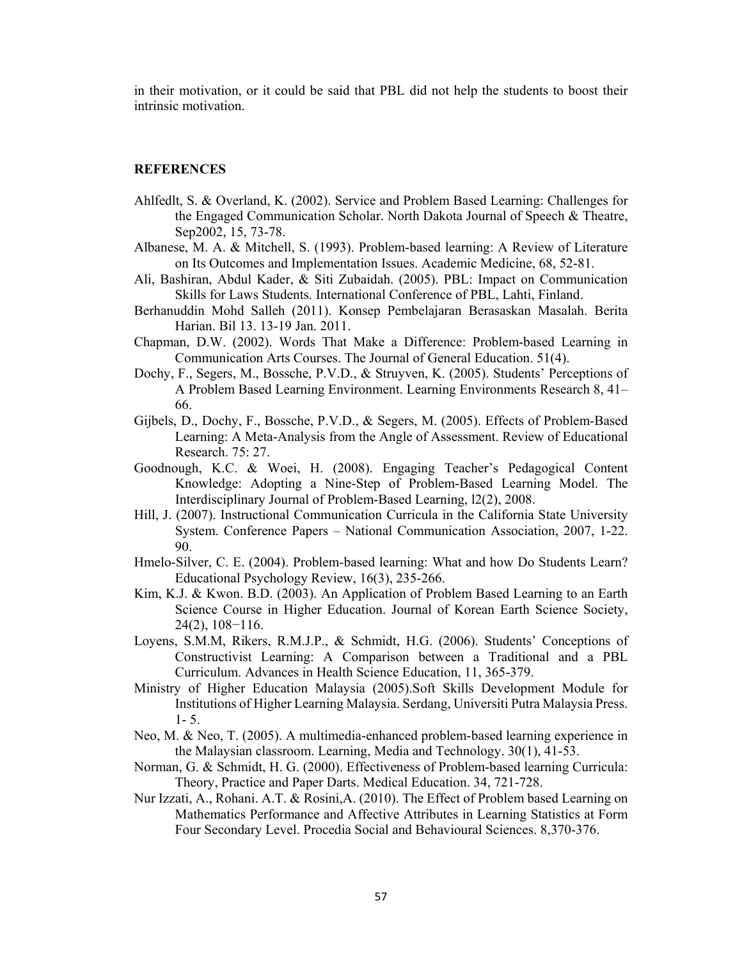in their motivation, or it could be said that PBL did not help the students to boost their intrinsic motivation.

#### **REFERENCES**

- Ahlfedlt, S. & Overland, K. (2002). Service and Problem Based Learning: Challenges for the Engaged Communication Scholar. North Dakota Journal of Speech & Theatre, Sep2002, 15, 73-78.
- Albanese, M. A. & Mitchell, S. (1993). Problem-based learning: A Review of Literature on Its Outcomes and Implementation Issues. Academic Medicine, 68, 52-81.
- Ali, Bashiran, Abdul Kader, & Siti Zubaidah. (2005). PBL: Impact on Communication Skills for Laws Students. International Conference of PBL, Lahti, Finland.
- Berhanuddin Mohd Salleh (2011). Konsep Pembelajaran Berasaskan Masalah. Berita Harian. Bil 13. 13-19 Jan. 2011.
- Chapman, D.W. (2002). Words That Make a Difference: Problem-based Learning in Communication Arts Courses. The Journal of General Education. 51(4).
- Dochy, F., Segers, M., Bossche, P.V.D., & Struyven, K. (2005). Students' Perceptions of A Problem Based Learning Environment. Learning Environments Research 8, 41– 66.
- Gijbels, D., Dochy, F., Bossche, P.V.D., & Segers, M. (2005). Effects of Problem-Based Learning: A Meta-Analysis from the Angle of Assessment. Review of Educational Research. 75: 27.
- Goodnough, K.C. & Woei, H. (2008). Engaging Teacher's Pedagogical Content Knowledge: Adopting a Nine-Step of Problem-Based Learning Model. The Interdisciplinary Journal of Problem-Based Learning, l2(2), 2008.
- Hill, J. (2007). Instructional Communication Curricula in the California State University System. Conference Papers – National Communication Association, 2007, 1-22. 90.
- Hmelo-Silver, C. E. (2004). Problem-based learning: What and how Do Students Learn? Educational Psychology Review, 16(3), 235-266.
- Kim, K.J. & Kwon. B.D. (2003). An Application of Problem Based Learning to an Earth Science Course in Higher Education. Journal of Korean Earth Science Society, 24(2), 108−116.
- Loyens, S.M.M, Rikers, R.M.J.P., & Schmidt, H.G. (2006). Students' Conceptions of Constructivist Learning: A Comparison between a Traditional and a PBL Curriculum. Advances in Health Science Education, 11, 365-379.
- Ministry of Higher Education Malaysia (2005).Soft Skills Development Module for Institutions of Higher Learning Malaysia. Serdang, Universiti Putra Malaysia Press. 1- 5.
- Neo, M. & Neo, T. (2005). A multimedia-enhanced problem-based learning experience in the Malaysian classroom. Learning, Media and Technology. 30(1), 41-53.
- Norman, G. & Schmidt, H. G. (2000). Effectiveness of Problem-based learning Curricula: Theory, Practice and Paper Darts. Medical Education. 34, 721-728.
- Nur Izzati, A., Rohani. A.T. & Rosini,A. (2010). The Effect of Problem based Learning on Mathematics Performance and Affective Attributes in Learning Statistics at Form Four Secondary Level. Procedia Social and Behavioural Sciences. 8,370-376.